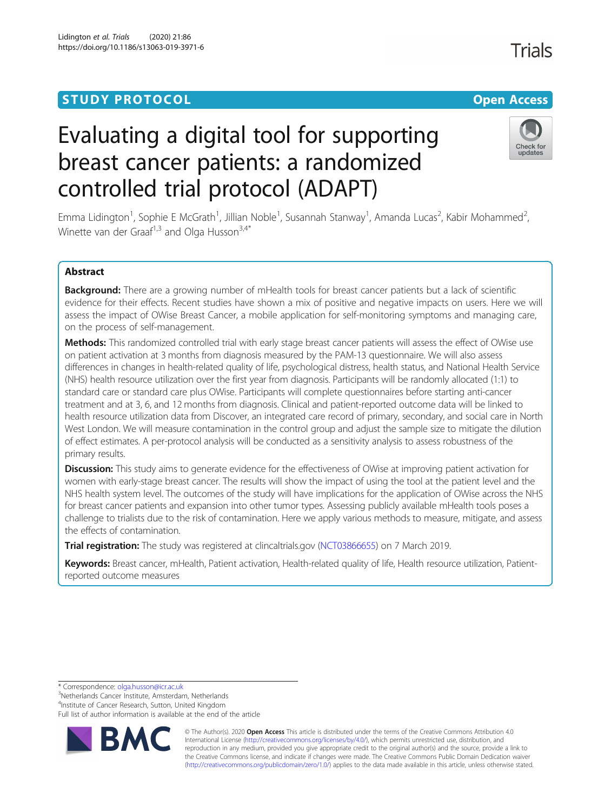# **STUDY PROTOCOL CONSUMING THE RESERVE ACCESS**

# Evaluating a digital tool for supporting breast cancer patients: a randomized controlled trial protocol (ADAPT)

Emma Lidington<sup>1</sup>, Sophie E McGrath<sup>1</sup>, Jillian Noble<sup>1</sup>, Susannah Stanway<sup>1</sup>, Amanda Lucas<sup>2</sup>, Kabir Mohammed<sup>2</sup> , Winette van der Graaf<sup>1,3</sup> and Olga Husson<sup>3,4\*</sup>

# Abstract

Background: There are a growing number of mHealth tools for breast cancer patients but a lack of scientific evidence for their effects. Recent studies have shown a mix of positive and negative impacts on users. Here we will assess the impact of OWise Breast Cancer, a mobile application for self-monitoring symptoms and managing care, on the process of self-management.

Methods: This randomized controlled trial with early stage breast cancer patients will assess the effect of OWise use on patient activation at 3 months from diagnosis measured by the PAM-13 questionnaire. We will also assess differences in changes in health-related quality of life, psychological distress, health status, and National Health Service (NHS) health resource utilization over the first year from diagnosis. Participants will be randomly allocated (1:1) to standard care or standard care plus OWise. Participants will complete questionnaires before starting anti-cancer treatment and at 3, 6, and 12 months from diagnosis. Clinical and patient-reported outcome data will be linked to health resource utilization data from Discover, an integrated care record of primary, secondary, and social care in North West London. We will measure contamination in the control group and adjust the sample size to mitigate the dilution of effect estimates. A per-protocol analysis will be conducted as a sensitivity analysis to assess robustness of the primary results.

Discussion: This study aims to generate evidence for the effectiveness of OWise at improving patient activation for women with early-stage breast cancer. The results will show the impact of using the tool at the patient level and the NHS health system level. The outcomes of the study will have implications for the application of OWise across the NHS for breast cancer patients and expansion into other tumor types. Assessing publicly available mHealth tools poses a challenge to trialists due to the risk of contamination. Here we apply various methods to measure, mitigate, and assess the effects of contamination.

Trial registration: The study was registered at clincaltrials.gov [\(NCT03866655](https://clinicaltrials.gov/ct2/show/NCT03866655?term=NCT03866655&draw=2&rank=1)) on 7 March 2019.

Keywords: Breast cancer, mHealth, Patient activation, Health-related quality of life, Health resource utilization, Patientreported outcome measures

\* Correspondence: [olga.husson@icr.ac.uk](mailto:olga.husson@icr.ac.uk) <sup>3</sup>

<sup>3</sup>Netherlands Cancer Institute, Amsterdam, Netherlands

<sup>4</sup>Institute of Cancer Research, Sutton, United Kingdom

Full list of author information is available at the end of the article

© The Author(s). 2020 **Open Access** This article is distributed under the terms of the Creative Commons Attribution 4.0 International License [\(http://creativecommons.org/licenses/by/4.0/](http://creativecommons.org/licenses/by/4.0/)), which permits unrestricted use, distribution, and reproduction in any medium, provided you give appropriate credit to the original author(s) and the source, provide a link to the Creative Commons license, and indicate if changes were made. The Creative Commons Public Domain Dedication waiver [\(http://creativecommons.org/publicdomain/zero/1.0/](http://creativecommons.org/publicdomain/zero/1.0/)) applies to the data made available in this article, unless otherwise stated.



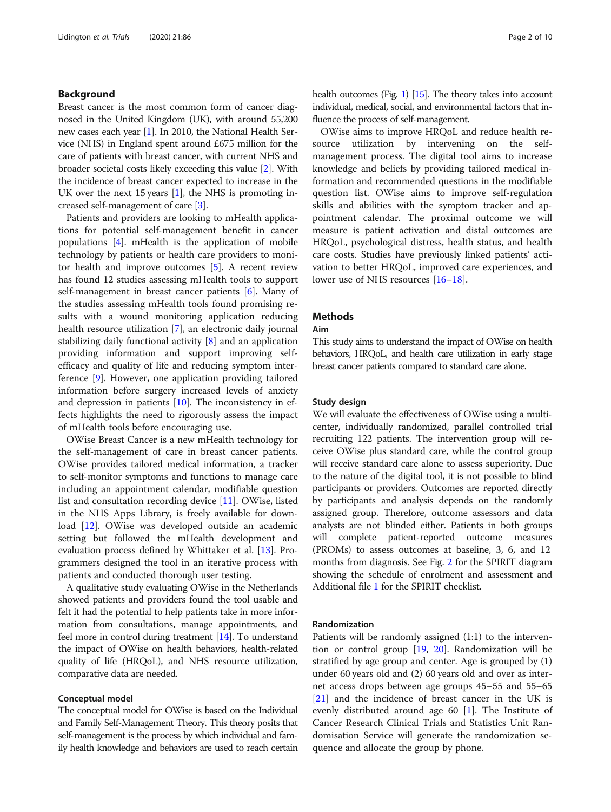#### Background

Breast cancer is the most common form of cancer diagnosed in the United Kingdom (UK), with around 55,200 new cases each year [[1\]](#page-8-0). In 2010, the National Health Service (NHS) in England spent around £675 million for the care of patients with breast cancer, with current NHS and broader societal costs likely exceeding this value [[2\]](#page-8-0). With the incidence of breast cancer expected to increase in the UK over the next 15 years [\[1](#page-8-0)], the NHS is promoting increased self-management of care [[3\]](#page-8-0).

Patients and providers are looking to mHealth applications for potential self-management benefit in cancer populations [[4\]](#page-8-0). mHealth is the application of mobile technology by patients or health care providers to monitor health and improve outcomes [[5\]](#page-8-0). A recent review has found 12 studies assessing mHealth tools to support self-management in breast cancer patients [[6\]](#page-8-0). Many of the studies assessing mHealth tools found promising results with a wound monitoring application reducing health resource utilization [\[7](#page-8-0)], an electronic daily journal stabilizing daily functional activity [\[8](#page-8-0)] and an application providing information and support improving selfefficacy and quality of life and reducing symptom interference [\[9](#page-8-0)]. However, one application providing tailored information before surgery increased levels of anxiety and depression in patients  $[10]$ . The inconsistency in effects highlights the need to rigorously assess the impact of mHealth tools before encouraging use.

OWise Breast Cancer is a new mHealth technology for the self-management of care in breast cancer patients. OWise provides tailored medical information, a tracker to self-monitor symptoms and functions to manage care including an appointment calendar, modifiable question list and consultation recording device [\[11\]](#page-8-0). OWise, listed in the NHS Apps Library, is freely available for download [\[12](#page-8-0)]. OWise was developed outside an academic setting but followed the mHealth development and evaluation process defined by Whittaker et al. [\[13\]](#page-8-0). Programmers designed the tool in an iterative process with patients and conducted thorough user testing.

A qualitative study evaluating OWise in the Netherlands showed patients and providers found the tool usable and felt it had the potential to help patients take in more information from consultations, manage appointments, and feel more in control during treatment [[14](#page-8-0)]. To understand the impact of OWise on health behaviors, health-related quality of life (HRQoL), and NHS resource utilization, comparative data are needed.

#### Conceptual model

The conceptual model for OWise is based on the Individual and Family Self-Management Theory. This theory posits that self-management is the process by which individual and family health knowledge and behaviors are used to reach certain health outcomes (Fig. [1\)](#page-2-0) [\[15\]](#page-8-0). The theory takes into account individual, medical, social, and environmental factors that influence the process of self-management.

OWise aims to improve HRQoL and reduce health resource utilization by intervening on the selfmanagement process. The digital tool aims to increase knowledge and beliefs by providing tailored medical information and recommended questions in the modifiable question list. OWise aims to improve self-regulation skills and abilities with the symptom tracker and appointment calendar. The proximal outcome we will measure is patient activation and distal outcomes are HRQoL, psychological distress, health status, and health care costs. Studies have previously linked patients' activation to better HRQoL, improved care experiences, and lower use of NHS resources [\[16](#page-8-0)–[18\]](#page-8-0).

#### Methods

#### Aim

This study aims to understand the impact of OWise on health behaviors, HRQoL, and health care utilization in early stage breast cancer patients compared to standard care alone.

#### Study design

We will evaluate the effectiveness of OWise using a multicenter, individually randomized, parallel controlled trial recruiting 122 patients. The intervention group will receive OWise plus standard care, while the control group will receive standard care alone to assess superiority. Due to the nature of the digital tool, it is not possible to blind participants or providers. Outcomes are reported directly by participants and analysis depends on the randomly assigned group. Therefore, outcome assessors and data analysts are not blinded either. Patients in both groups will complete patient-reported outcome measures (PROMs) to assess outcomes at baseline, 3, 6, and 12 months from diagnosis. See Fig. [2](#page-3-0) for the SPIRIT diagram showing the schedule of enrolment and assessment and Additional file [1](#page-7-0) for the SPIRIT checklist.

#### Randomization

Patients will be randomly assigned (1:1) to the intervention or control group [\[19,](#page-8-0) [20\]](#page-8-0). Randomization will be stratified by age group and center. Age is grouped by (1) under 60 years old and (2) 60 years old and over as internet access drops between age groups 45–55 and 55–65 [[21\]](#page-8-0) and the incidence of breast cancer in the UK is evenly distributed around age 60 [[1\]](#page-8-0). The Institute of Cancer Research Clinical Trials and Statistics Unit Randomisation Service will generate the randomization sequence and allocate the group by phone.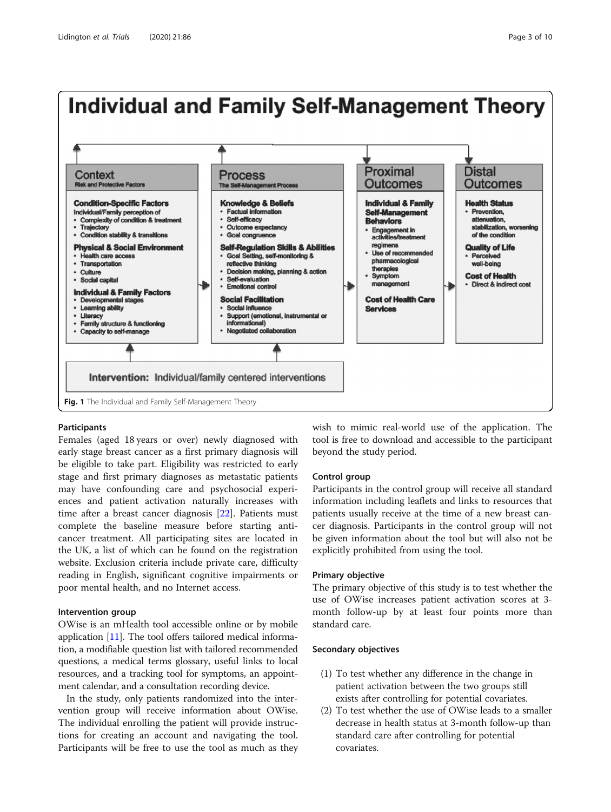<span id="page-2-0"></span>

#### Participants

Females (aged 18 years or over) newly diagnosed with early stage breast cancer as a first primary diagnosis will be eligible to take part. Eligibility was restricted to early stage and first primary diagnoses as metastatic patients may have confounding care and psychosocial experiences and patient activation naturally increases with time after a breast cancer diagnosis [\[22](#page-8-0)]. Patients must complete the baseline measure before starting anticancer treatment. All participating sites are located in the UK, a list of which can be found on the registration website. Exclusion criteria include private care, difficulty reading in English, significant cognitive impairments or poor mental health, and no Internet access.

#### Intervention group

OWise is an mHealth tool accessible online or by mobile application [[11\]](#page-8-0). The tool offers tailored medical information, a modifiable question list with tailored recommended questions, a medical terms glossary, useful links to local resources, and a tracking tool for symptoms, an appointment calendar, and a consultation recording device.

In the study, only patients randomized into the intervention group will receive information about OWise. The individual enrolling the patient will provide instructions for creating an account and navigating the tool. Participants will be free to use the tool as much as they wish to mimic real-world use of the application. The tool is free to download and accessible to the participant beyond the study period.

#### Control group

Participants in the control group will receive all standard information including leaflets and links to resources that patients usually receive at the time of a new breast cancer diagnosis. Participants in the control group will not be given information about the tool but will also not be explicitly prohibited from using the tool.

#### Primary objective

The primary objective of this study is to test whether the use of OWise increases patient activation scores at 3 month follow-up by at least four points more than standard care.

### Secondary objectives

- (1) To test whether any difference in the change in patient activation between the two groups still exists after controlling for potential covariates.
- (2) To test whether the use of OWise leads to a smaller decrease in health status at 3-month follow-up than standard care after controlling for potential covariates.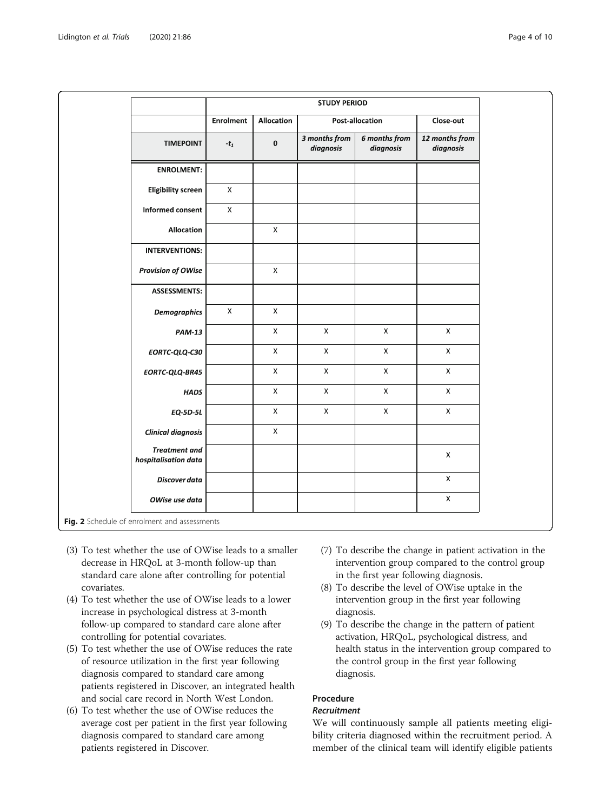<span id="page-3-0"></span>

|                                              | <b>STUDY PERIOD</b> |                |                            |                                   |                             |
|----------------------------------------------|---------------------|----------------|----------------------------|-----------------------------------|-----------------------------|
|                                              | <b>Enrolment</b>    | Allocation     | Post-allocation            |                                   | Close-out                   |
| <b>TIMEPOINT</b>                             | - $t_1$             | $\mathbf 0$    | 3 months from<br>diagnosis | <b>6</b> months from<br>diagnosis | 12 months from<br>diagnosis |
| <b>ENROLMENT:</b>                            |                     |                |                            |                                   |                             |
| <b>Eligibility screen</b>                    | $\mathsf{X}$        |                |                            |                                   |                             |
| Informed consent                             | $\mathsf X$         |                |                            |                                   |                             |
| Allocation                                   |                     | $\pmb{\times}$ |                            |                                   |                             |
| <b>INTERVENTIONS:</b>                        |                     |                |                            |                                   |                             |
| <b>Provision of OWise</b>                    |                     | $\pmb{\times}$ |                            |                                   |                             |
| <b>ASSESSMENTS:</b>                          |                     |                |                            |                                   |                             |
| <b>Demographics</b>                          | $\mathsf{X}$        | $\pmb{\times}$ |                            |                                   |                             |
| <b>PAM-13</b>                                |                     | $\mathsf{X}$   | $\mathsf X$                | $\mathsf X$                       | $\bar{\mathsf{X}}$          |
| EORTC-QLQ-C30                                |                     | $\mathsf{X}$   | $\pmb{\times}$             | $\mathsf{X}$                      | $\mathsf X$                 |
| EORTC-QLQ-BR45                               |                     | $\mathsf X$    | $\mathsf X$                | $\mathsf X$                       | $\mathsf X$                 |
| <b>HADS</b>                                  |                     | $\pmb{\times}$ | $\pmb{\times}$             | $\mathsf X$                       | $\mathsf{X}$                |
| <b>EQ-5D-5L</b>                              |                     | $\mathsf X$    | $\mathsf X$                | $\mathsf X$                       | $\bar{\mathsf{X}}$          |
| <b>Clinical diagnosis</b>                    |                     | $\pmb{\times}$ |                            |                                   |                             |
| <b>Treatment</b> and<br>hospitalisation data |                     |                |                            |                                   | X                           |
| Discover data                                |                     |                |                            |                                   | $\mathsf{X}$                |
| OWise use data                               |                     |                |                            |                                   | $\mathsf X$                 |
| Fig. 2 Schedule of enrolment and assessments |                     |                |                            |                                   |                             |

- (3) To test whether the use of OWise leads to a smaller decrease in HRQoL at 3-month follow-up than standard care alone after controlling for potential covariates.
- (4) To test whether the use of OWise leads to a lower increase in psychological distress at 3-month follow-up compared to standard care alone after controlling for potential covariates.
- (5) To test whether the use of OWise reduces the rate of resource utilization in the first year following diagnosis compared to standard care among patients registered in Discover, an integrated health and social care record in North West London.
- (6) To test whether the use of OWise reduces the average cost per patient in the first year following diagnosis compared to standard care among patients registered in Discover.
- (7) To describe the change in patient activation in the intervention group compared to the control group in the first year following diagnosis.
- (8) To describe the level of OWise uptake in the intervention group in the first year following diagnosis.
- (9) To describe the change in the pattern of patient activation, HRQoL, psychological distress, and health status in the intervention group compared to the control group in the first year following diagnosis.

# Procedure

# Recruitment

We will continuously sample all patients meeting eligibility criteria diagnosed within the recruitment period. A member of the clinical team will identify eligible patients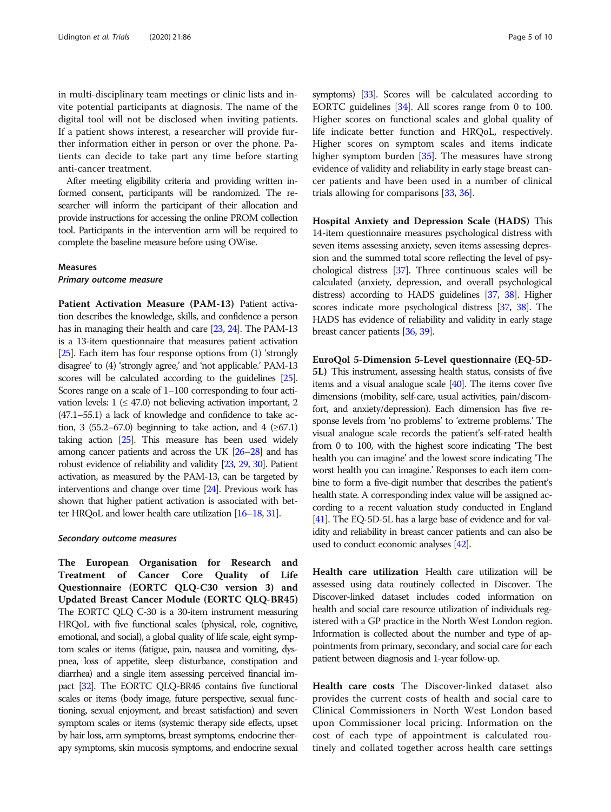in multi-disciplinary team meetings or clinic lists and invite potential participants at diagnosis. The name of the digital tool will not be disclosed when inviting patients. If a patient shows interest, a researcher will provide further information either in person or over the phone. Patients can decide to take part any time before starting anti-cancer treatment.

After meeting eligibility criteria and providing written informed consent, participants will be randomized. The researcher will inform the participant of their allocation and provide instructions for accessing the online PROM collection tool. Participants in the intervention arm will be required to complete the baseline measure before using OWise.

#### Measures

Primary outcome measure

Patient Activation Measure (PAM-13) Patient activation describes the knowledge, skills, and confidence a person has in managing their health and care [\[23](#page-8-0), [24](#page-8-0)]. The PAM-13 is a 13-item questionnaire that measures patient activation [[25\]](#page-8-0). Each item has four response options from (1) 'strongly disagree' to (4) 'strongly agree,' and 'not applicable.' PAM-13 scores will be calculated according to the guidelines [\[25\]](#page-8-0). Scores range on a scale of 1–100 corresponding to four activation levels:  $1 \leq 47.0$  not believing activation important, 2 (47.1–55.1) a lack of knowledge and confidence to take action, 3 (55.2–67.0) beginning to take action, and 4 ( $\geq 67.1$ ) taking action [\[25\]](#page-8-0). This measure has been used widely among cancer patients and across the UK [\[26](#page-8-0)–[28](#page-8-0)] and has robust evidence of reliability and validity [\[23,](#page-8-0) [29,](#page-8-0) [30\]](#page-8-0). Patient activation, as measured by the PAM-13, can be targeted by interventions and change over time [\[24\]](#page-8-0). Previous work has shown that higher patient activation is associated with better HRQoL and lower health care utilization [\[16](#page-8-0)–[18](#page-8-0), [31](#page-8-0)].

#### Secondary outcome measures

The European Organisation for Research and Treatment of Cancer Core Quality of Life Questionnaire (EORTC QLQ-C30 version 3) and Updated Breast Cancer Module (EORTC QLQ-BR45) The EORTC QLQ C-30 is a 30-item instrument measuring HRQoL with five functional scales (physical, role, cognitive, emotional, and social), a global quality of life scale, eight symptom scales or items (fatigue, pain, nausea and vomiting, dyspnea, loss of appetite, sleep disturbance, constipation and diarrhea) and a single item assessing perceived financial impact [[32\]](#page-8-0). The EORTC QLQ-BR45 contains five functional scales or items (body image, future perspective, sexual functioning, sexual enjoyment, and breast satisfaction) and seven symptom scales or items (systemic therapy side effects, upset by hair loss, arm symptoms, breast symptoms, endocrine therapy symptoms, skin mucosis symptoms, and endocrine sexual symptoms) [[33\]](#page-8-0). Scores will be calculated according to EORTC guidelines [[34\]](#page-8-0). All scores range from 0 to 100. Higher scores on functional scales and global quality of life indicate better function and HRQoL, respectively. Higher scores on symptom scales and items indicate higher symptom burden [\[35\]](#page-8-0). The measures have strong evidence of validity and reliability in early stage breast cancer patients and have been used in a number of clinical trials allowing for comparisons [\[33](#page-8-0), [36](#page-8-0)].

Hospital Anxiety and Depression Scale (HADS) This 14-item questionnaire measures psychological distress with seven items assessing anxiety, seven items assessing depression and the summed total score reflecting the level of psychological distress [\[37](#page-8-0)]. Three continuous scales will be calculated (anxiety, depression, and overall psychological distress) according to HADS guidelines [[37,](#page-8-0) [38](#page-8-0)]. Higher scores indicate more psychological distress [\[37,](#page-8-0) [38](#page-8-0)]. The HADS has evidence of reliability and validity in early stage breast cancer patients [\[36,](#page-8-0) [39\]](#page-8-0).

EuroQol 5-Dimension 5-Level questionnaire (EQ-5D-5L) This instrument, assessing health status, consists of five items and a visual analogue scale [[40\]](#page-8-0). The items cover five dimensions (mobility, self-care, usual activities, pain/discomfort, and anxiety/depression). Each dimension has five response levels from 'no problems' to 'extreme problems.' The visual analogue scale records the patient's self-rated health from 0 to 100, with the highest score indicating 'The best health you can imagine' and the lowest score indicating 'The worst health you can imagine.' Responses to each item combine to form a five-digit number that describes the patient's health state. A corresponding index value will be assigned according to a recent valuation study conducted in England [[41\]](#page-8-0). The EQ-5D-5L has a large base of evidence and for validity and reliability in breast cancer patients and can also be used to conduct economic analyses [\[42](#page-8-0)].

Health care utilization Health care utilization will be assessed using data routinely collected in Discover. The Discover-linked dataset includes coded information on health and social care resource utilization of individuals registered with a GP practice in the North West London region. Information is collected about the number and type of appointments from primary, secondary, and social care for each patient between diagnosis and 1-year follow-up.

Health care costs The Discover-linked dataset also provides the current costs of health and social care to Clinical Commissioners in North West London based upon Commissioner local pricing. Information on the cost of each type of appointment is calculated routinely and collated together across health care settings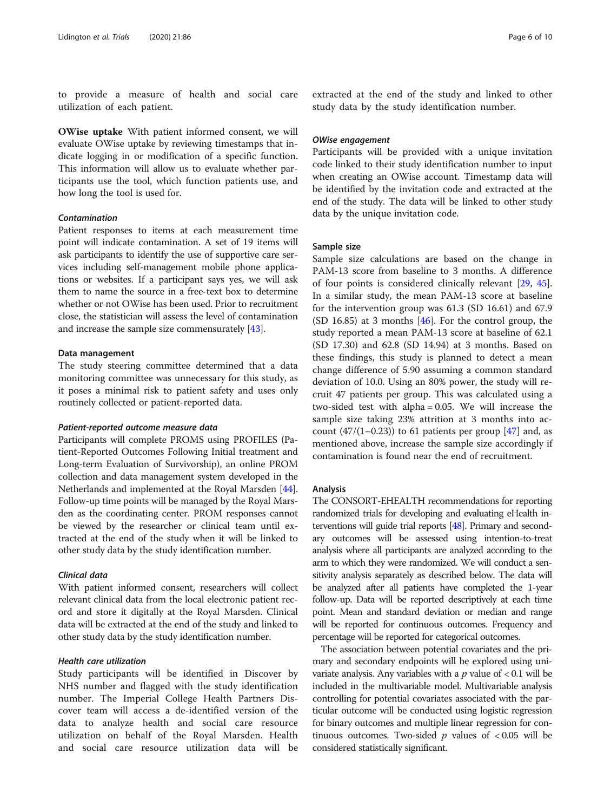to provide a measure of health and social care utilization of each patient.

OWise uptake With patient informed consent, we will evaluate OWise uptake by reviewing timestamps that indicate logging in or modification of a specific function. This information will allow us to evaluate whether participants use the tool, which function patients use, and how long the tool is used for.

#### Contamination

Patient responses to items at each measurement time point will indicate contamination. A set of 19 items will ask participants to identify the use of supportive care services including self-management mobile phone applications or websites. If a participant says yes, we will ask them to name the source in a free-text box to determine whether or not OWise has been used. Prior to recruitment close, the statistician will assess the level of contamination and increase the sample size commensurately [\[43\]](#page-8-0).

#### Data management

The study steering committee determined that a data monitoring committee was unnecessary for this study, as it poses a minimal risk to patient safety and uses only routinely collected or patient-reported data.

#### Patient-reported outcome measure data

Participants will complete PROMS using PROFILES (Patient-Reported Outcomes Following Initial treatment and Long-term Evaluation of Survivorship), an online PROM collection and data management system developed in the Netherlands and implemented at the Royal Marsden [[44](#page-8-0)]. Follow-up time points will be managed by the Royal Marsden as the coordinating center. PROM responses cannot be viewed by the researcher or clinical team until extracted at the end of the study when it will be linked to other study data by the study identification number.

#### Clinical data

With patient informed consent, researchers will collect relevant clinical data from the local electronic patient record and store it digitally at the Royal Marsden. Clinical data will be extracted at the end of the study and linked to other study data by the study identification number.

#### Health care utilization

Study participants will be identified in Discover by NHS number and flagged with the study identification number. The Imperial College Health Partners Discover team will access a de-identified version of the data to analyze health and social care resource utilization on behalf of the Royal Marsden. Health and social care resource utilization data will be

extracted at the end of the study and linked to other study data by the study identification number.

#### OWise engagement

Participants will be provided with a unique invitation code linked to their study identification number to input when creating an OWise account. Timestamp data will be identified by the invitation code and extracted at the end of the study. The data will be linked to other study data by the unique invitation code.

# Sample size

Sample size calculations are based on the change in PAM-13 score from baseline to 3 months. A difference of four points is considered clinically relevant [\[29,](#page-8-0) [45](#page-8-0)]. In a similar study, the mean PAM-13 score at baseline for the intervention group was 61.3 (SD 16.61) and 67.9 (SD 16.85) at 3 months [[46\]](#page-8-0). For the control group, the study reported a mean PAM-13 score at baseline of 62.1 (SD 17.30) and 62.8 (SD 14.94) at 3 months. Based on these findings, this study is planned to detect a mean change difference of 5.90 assuming a common standard deviation of 10.0. Using an 80% power, the study will recruit 47 patients per group. This was calculated using a two-sided test with alpha = 0.05. We will increase the sample size taking 23% attrition at 3 months into account  $(47/(1-0.23))$  to 61 patients per group  $[47]$  and, as mentioned above, increase the sample size accordingly if contamination is found near the end of recruitment.

#### Analysis

The CONSORT-EHEALTH recommendations for reporting randomized trials for developing and evaluating eHealth interventions will guide trial reports [\[48](#page-9-0)]. Primary and secondary outcomes will be assessed using intention-to-treat analysis where all participants are analyzed according to the arm to which they were randomized. We will conduct a sensitivity analysis separately as described below. The data will be analyzed after all patients have completed the 1-year follow-up. Data will be reported descriptively at each time point. Mean and standard deviation or median and range will be reported for continuous outcomes. Frequency and percentage will be reported for categorical outcomes.

The association between potential covariates and the primary and secondary endpoints will be explored using univariate analysis. Any variables with a  $p$  value of  $< 0.1$  will be included in the multivariable model. Multivariable analysis controlling for potential covariates associated with the particular outcome will be conducted using logistic regression for binary outcomes and multiple linear regression for continuous outcomes. Two-sided  $p$  values of  $< 0.05$  will be considered statistically significant.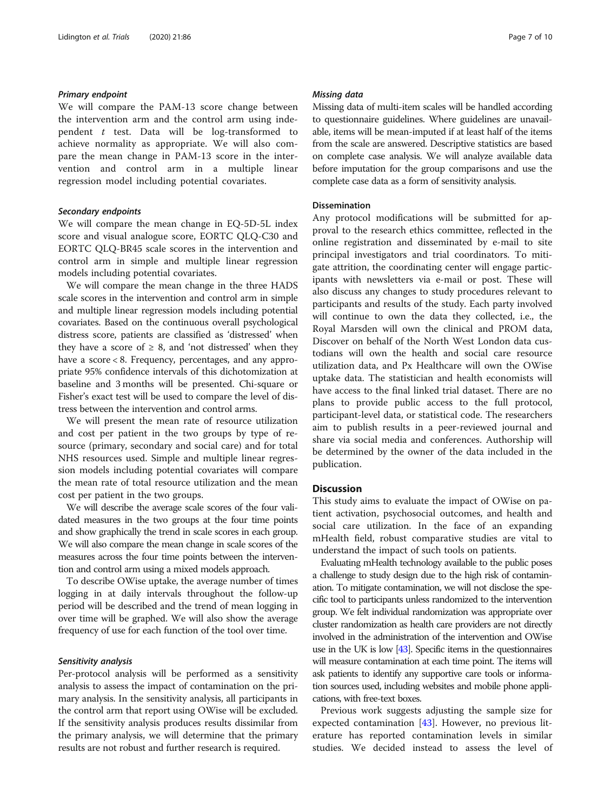#### Primary endpoint

We will compare the PAM-13 score change between the intervention arm and the control arm using independent  $t$  test. Data will be log-transformed to achieve normality as appropriate. We will also compare the mean change in PAM-13 score in the intervention and control arm in a multiple linear regression model including potential covariates.

#### Secondary endpoints

We will compare the mean change in EQ-5D-5L index score and visual analogue score, EORTC QLQ-C30 and EORTC QLQ-BR45 scale scores in the intervention and control arm in simple and multiple linear regression models including potential covariates.

We will compare the mean change in the three HADS scale scores in the intervention and control arm in simple and multiple linear regression models including potential covariates. Based on the continuous overall psychological distress score, patients are classified as 'distressed' when they have a score of  $\geq$  8, and 'not distressed' when they have a score < 8. Frequency, percentages, and any appropriate 95% confidence intervals of this dichotomization at baseline and 3 months will be presented. Chi-square or Fisher's exact test will be used to compare the level of distress between the intervention and control arms.

We will present the mean rate of resource utilization and cost per patient in the two groups by type of resource (primary, secondary and social care) and for total NHS resources used. Simple and multiple linear regression models including potential covariates will compare the mean rate of total resource utilization and the mean cost per patient in the two groups.

We will describe the average scale scores of the four validated measures in the two groups at the four time points and show graphically the trend in scale scores in each group. We will also compare the mean change in scale scores of the measures across the four time points between the intervention and control arm using a mixed models approach.

To describe OWise uptake, the average number of times logging in at daily intervals throughout the follow-up period will be described and the trend of mean logging in over time will be graphed. We will also show the average frequency of use for each function of the tool over time.

#### Sensitivity analysis

Per-protocol analysis will be performed as a sensitivity analysis to assess the impact of contamination on the primary analysis. In the sensitivity analysis, all participants in the control arm that report using OWise will be excluded. If the sensitivity analysis produces results dissimilar from the primary analysis, we will determine that the primary results are not robust and further research is required.

#### Missing data

Missing data of multi-item scales will be handled according to questionnaire guidelines. Where guidelines are unavailable, items will be mean-imputed if at least half of the items from the scale are answered. Descriptive statistics are based on complete case analysis. We will analyze available data before imputation for the group comparisons and use the complete case data as a form of sensitivity analysis.

#### Dissemination

Any protocol modifications will be submitted for approval to the research ethics committee, reflected in the online registration and disseminated by e-mail to site principal investigators and trial coordinators. To mitigate attrition, the coordinating center will engage participants with newsletters via e-mail or post. These will also discuss any changes to study procedures relevant to participants and results of the study. Each party involved will continue to own the data they collected, i.e., the Royal Marsden will own the clinical and PROM data, Discover on behalf of the North West London data custodians will own the health and social care resource utilization data, and Px Healthcare will own the OWise uptake data. The statistician and health economists will have access to the final linked trial dataset. There are no plans to provide public access to the full protocol, participant-level data, or statistical code. The researchers aim to publish results in a peer-reviewed journal and share via social media and conferences. Authorship will be determined by the owner of the data included in the publication.

#### **Discussion**

This study aims to evaluate the impact of OWise on patient activation, psychosocial outcomes, and health and social care utilization. In the face of an expanding mHealth field, robust comparative studies are vital to understand the impact of such tools on patients.

Evaluating mHealth technology available to the public poses a challenge to study design due to the high risk of contamination. To mitigate contamination, we will not disclose the specific tool to participants unless randomized to the intervention group. We felt individual randomization was appropriate over cluster randomization as health care providers are not directly involved in the administration of the intervention and OWise use in the UK is low [[43\]](#page-8-0). Specific items in the questionnaires will measure contamination at each time point. The items will ask patients to identify any supportive care tools or information sources used, including websites and mobile phone applications, with free-text boxes.

Previous work suggests adjusting the sample size for expected contamination [\[43](#page-8-0)]. However, no previous literature has reported contamination levels in similar studies. We decided instead to assess the level of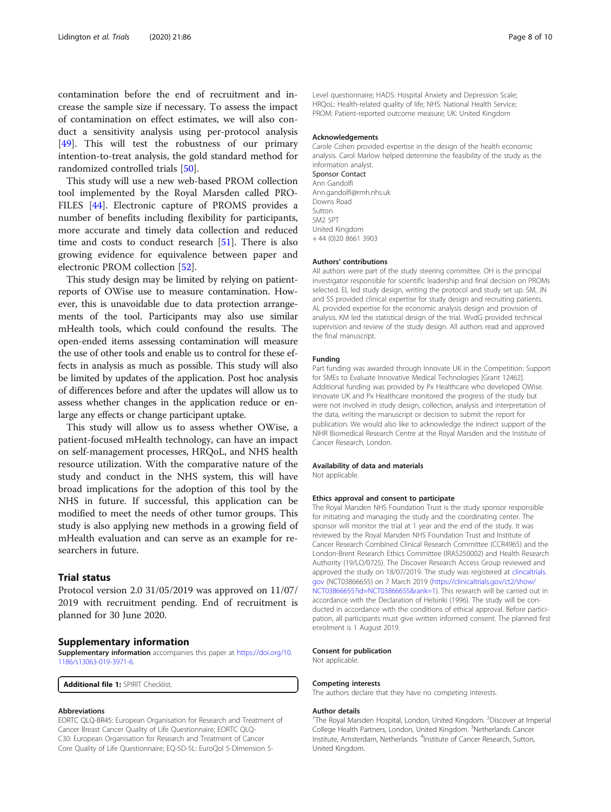<span id="page-7-0"></span>contamination before the end of recruitment and increase the sample size if necessary. To assess the impact of contamination on effect estimates, we will also conduct a sensitivity analysis using per-protocol analysis [[49\]](#page-9-0). This will test the robustness of our primary intention-to-treat analysis, the gold standard method for randomized controlled trials [[50\]](#page-9-0).

This study will use a new web-based PROM collection tool implemented by the Royal Marsden called PRO-FILES [[44\]](#page-8-0). Electronic capture of PROMS provides a number of benefits including flexibility for participants, more accurate and timely data collection and reduced time and costs to conduct research [[51](#page-9-0)]. There is also growing evidence for equivalence between paper and electronic PROM collection [[52\]](#page-9-0).

This study design may be limited by relying on patientreports of OWise use to measure contamination. However, this is unavoidable due to data protection arrangements of the tool. Participants may also use similar mHealth tools, which could confound the results. The open-ended items assessing contamination will measure the use of other tools and enable us to control for these effects in analysis as much as possible. This study will also be limited by updates of the application. Post hoc analysis of differences before and after the updates will allow us to assess whether changes in the application reduce or enlarge any effects or change participant uptake.

This study will allow us to assess whether OWise, a patient-focused mHealth technology, can have an impact on self-management processes, HRQoL, and NHS health resource utilization. With the comparative nature of the study and conduct in the NHS system, this will have broad implications for the adoption of this tool by the NHS in future. If successful, this application can be modified to meet the needs of other tumor groups. This study is also applying new methods in a growing field of mHealth evaluation and can serve as an example for researchers in future.

# Trial status

Protocol version 2.0 31/05/2019 was approved on 11/07/ 2019 with recruitment pending. End of recruitment is planned for 30 June 2020.

#### Supplementary information

Supplementary information accompanies this paper at [https://doi.org/10.](https://doi.org/10.1186/s13063-019-3971-6) [1186/s13063-019-3971-6.](https://doi.org/10.1186/s13063-019-3971-6)

Additional file 1: SPIRIT Checklist

#### Abbreviations

EORTC QLQ-BR45: European Organisation for Research and Treatment of Cancer Breast Cancer Quality of Life Questionnaire; EORTC QLQ-C30: European Organisation for Research and Treatment of Cancer Core Quality of Life Questionnaire; EQ-5D-5L: EuroQol 5-Dimension 5Level questionnaire; HADS: Hospital Anxiety and Depression Scale; HRQoL: Health-related quality of life; NHS: National Health Service; PROM: Patient-reported outcome measure; UK: United Kingdom

#### Acknowledgements

Carole Cohen provided expertise in the design of the health economic analysis. Carol Marlow helped determine the feasibility of the study as the information analyst. Sponsor Contact Ann Gandolfi Ann.gandolfi@rmh.nhs.uk Downs Road Sutton SM2 5PT United Kingdom + 44 (0)20 8661 3903

#### Authors' contributions

All authors were part of the study steering committee. OH is the principal investigator responsible for scientific leadership and final decision on PROMs selected. EL led study design, writing the protocol and study set up. SM, JN and SS provided clinical expertise for study design and recruiting patients. AL provided expertise for the economic analysis design and provision of analysis. KM led the statistical design of the trial. WvdG provided technical supervision and review of the study design. All authors read and approved the final manuscript.

#### Funding

Part funding was awarded through Innovate UK in the Competition: Support for SMEs to Evaluate Innovative Medical Technologies [Grant 12462]. Additional funding was provided by Px Healthcare who developed OWise. Innovate UK and Px Healthcare monitored the progress of the study but were not involved in study design, collection, analysis and interpretation of the data, writing the manuscript or decision to submit the report for publication. We would also like to acknowledge the indirect support of the NIHR Biomedical Research Centre at the Royal Marsden and the Institute of Cancer Research, London.

#### Availability of data and materials

Not applicable.

#### Ethics approval and consent to participate

The Royal Marsden NHS Foundation Trust is the study sponsor responsible for initiating and managing the study and the coordinating center. The sponsor will monitor the trial at 1 year and the end of the study. It was reviewed by the Royal Marsden NHS Foundation Trust and Institute of Cancer Research Combined Clinical Research Committee (CCR4965) and the London-Brent Research Ethics Committee (IRAS250002) and Health Research Authority (19/LO/0725). The Discover Research Access Group reviewed and approved the study on 18/07/2019. The study was registered at [clincaltrials.](http://clincaltrials.gov) [gov](http://clincaltrials.gov) (NCT03866655) on 7 March 2019 [\(https://clinicaltrials.gov/ct2/show/](https://clinicaltrials.gov/ct2/show/NCT03866655?id=NCT03866655&rank=1) [NCT03866655?id=NCT03866655&rank=1\)](https://clinicaltrials.gov/ct2/show/NCT03866655?id=NCT03866655&rank=1). This research will be carried out in accordance with the Declaration of Helsinki (1996). The study will be conducted in accordance with the conditions of ethical approval. Before participation, all participants must give written informed consent. The planned first enrolment is 1 August 2019.

#### Consent for publication

Not applicable.

#### Competing interests

The authors declare that they have no competing interests.

#### Author details

<sup>1</sup>The Royal Marsden Hospital, London, United Kingdom. <sup>2</sup>Discover at Imperial College Health Partners, London, United Kingdom. <sup>3</sup>Netherlands Cancer Institute, Amsterdam, Netherlands. <sup>4</sup>Institute of Cancer Research, Sutton United Kingdom.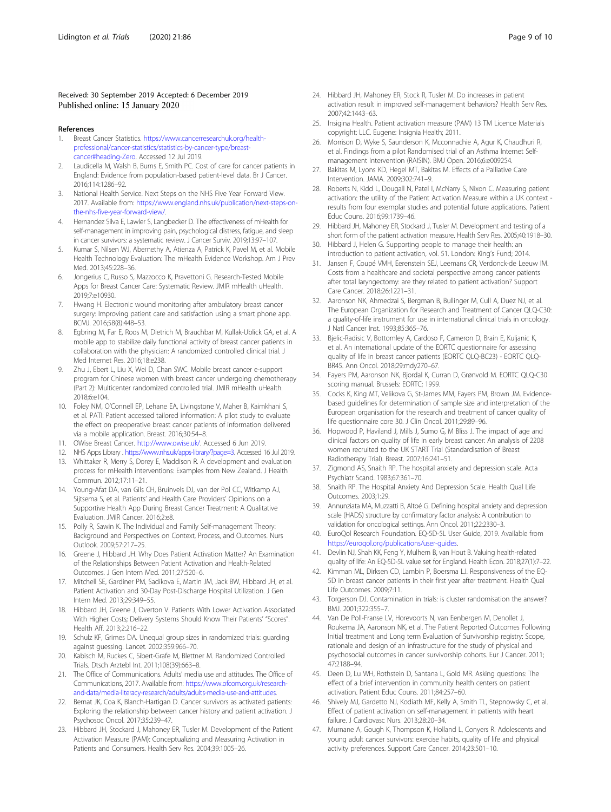#### <span id="page-8-0"></span>Received: 30 September 2019 Accepted: 6 December 2019 Published online: 15 January 2020

#### References

- 1. Breast Cancer Statistics. [https://www.cancerresearchuk.org/health](https://www.cancerresearchuk.org/health-professional/cancer-statistics/statistics-by-cancer-type/breast-cancer#heading-Zero)[professional/cancer-statistics/statistics-by-cancer-type/breast](https://www.cancerresearchuk.org/health-professional/cancer-statistics/statistics-by-cancer-type/breast-cancer#heading-Zero)[cancer#heading-Zero](https://www.cancerresearchuk.org/health-professional/cancer-statistics/statistics-by-cancer-type/breast-cancer#heading-Zero). Accessed 12 Jul 2019.
- 2. Laudicella M, Walsh B, Burns E, Smith PC. Cost of care for cancer patients in England: Evidence from population-based patient-level data. Br J Cancer. 2016;114:1286–92.
- 3. National Health Service. Next Steps on the NHS Five Year Forward View. 2017. Available from: [https://www.england.nhs.uk/publication/next-steps-on](https://www.england.nhs.uk/publication/next-steps-on-the-nhs-five-year-forward-view/)[the-nhs-five-year-forward-view/.](https://www.england.nhs.uk/publication/next-steps-on-the-nhs-five-year-forward-view/)
- 4. Hernandez Silva E, Lawler S, Langbecker D. The effectiveness of mHealth for self-management in improving pain, psychological distress, fatigue, and sleep in cancer survivors: a systematic review. J Cancer Surviv. 2019;13:97–107.
- 5. Kumar S, Nilsen WJ, Abernethy A, Atienza A, Patrick K, Pavel M, et al. Mobile Health Technology Evaluation: The mHealth Evidence Workshop. Am J Prev Med. 2013;45:228–36.
- 6. Jongerius C, Russo S, Mazzocco K, Pravettoni G. Research-Tested Mobile Apps for Breast Cancer Care: Systematic Review. JMIR mHealth uHealth. 2019;7:e10930.
- 7. Hwang H. Electronic wound monitoring after ambulatory breast cancer surgery: Improving patient care and satisfaction using a smart phone app. BCMJ. 2016;58(8):448–53.
- Egbring M, Far E, Roos M, Dietrich M, Brauchbar M, Kullak-Ublick GA, et al. A mobile app to stabilize daily functional activity of breast cancer patients in collaboration with the physician: A randomized controlled clinical trial. J Med Internet Res. 2016;18:e238.
- 9. Zhu J, Ebert L, Liu X, Wei D, Chan SWC. Mobile breast cancer e-support program for Chinese women with breast cancer undergoing chemotherapy (Part 2): Multicenter randomized controlled trial. JMIR mHealth uHealth. 2018;6:e104.
- 10. Foley NM, O'Connell EP, Lehane EA, Livingstone V, Maher B, Kaimkhani S, et al. PATI: Patient accessed tailored information: A pilot study to evaluate the effect on preoperative breast cancer patients of information delivered via a mobile application. Breast. 2016;30:54–8.
- 11. OWise Breast Cancer. <http://www.owise.uk/>. Accessed 6 Jun 2019.
- 12. NHS Apps Library . <https://www.nhs.uk/apps-library/?page=3>. Accessed 16 Jul 2019. 13. Whittaker R, Merry S, Dorey E, Maddison R. A development and evaluation
- process for mHealth interventions: Examples from New Zealand. J Health Commun. 2012;17:11–21.
- 14. Young-Afat DA, van Gils CH, Bruinvels DJ, van der Pol CC, Witkamp AJ, Sijtsema S, et al. Patients' and Health Care Providers' Opinions on a Supportive Health App During Breast Cancer Treatment: A Qualitative Evaluation. JMIR Cancer. 2016;2:e8.
- 15. Polly R, Sawin K. The Individual and Family Self-management Theory: Background and Perspectives on Context, Process, and Outcomes. Nurs Outlook. 2009;57:217–25.
- 16. Greene J, Hibbard JH. Why Does Patient Activation Matter? An Examination of the Relationships Between Patient Activation and Health-Related Outcomes. J Gen Intern Med. 2011;27:520–6.
- 17. Mitchell SE, Gardiner PM, Sadikova E, Martin JM, Jack BW, Hibbard JH, et al. Patient Activation and 30-Day Post-Discharge Hospital Utilization. J Gen Intern Med. 2013;29:349–55.
- 18. Hibbard JH, Greene J, Overton V. Patients With Lower Activation Associated With Higher Costs; Delivery Systems Should Know Their Patients' "Scores". Health Aff. 2013;2:216–22.
- 19. Schulz KF, Grimes DA. Unequal group sizes in randomized trials: guarding against guessing. Lancet. 2002;359:966–70.
- 20. Kabisch M, Ruckes C, Sibert-Grafe M, Blettner M. Randomized Controlled Trials. Dtsch Arztebl Int. 2011;108(39):663–8.
- 21. The Office of Communications. Adults' media use and attitudes. The Office of Communications, 2017. Available from: [https://www.ofcom.org.uk/research](https://www.ofcom.org.uk/research-and-data/media-literacy-research/adults/adults-media-use-and-attitudes)[and-data/media-literacy-research/adults/adults-media-use-and-attitudes.](https://www.ofcom.org.uk/research-and-data/media-literacy-research/adults/adults-media-use-and-attitudes)
- 22. Bernat JK, Coa K, Blanch-Hartigan D. Cancer survivors as activated patients: Exploring the relationship between cancer history and patient activation. J Psychosoc Oncol. 2017;35:239–47.
- 23. Hibbard JH, Stockard J, Mahoney ER, Tusler M. Development of the Patient Activation Measure (PAM): Conceptualizing and Measuring Activation in Patients and Consumers. Health Serv Res. 2004;39:1005–26.
- 24. Hibbard JH, Mahoney ER, Stock R, Tusler M. Do increases in patient activation result in improved self-management behaviors? Health Serv Res. 2007;42:1443–63.
- 25. Insigina Health. Patient activation measure (PAM) 13 TM Licence Materials copyright: LLC. Eugene: Insignia Health; 2011.
- 26. Morrison D, Wyke S, Saunderson K, Mcconnachie A, Agur K, Chaudhuri R, et al. Findings from a pilot Randomised trial of an Asthma Internet Selfmanagement Intervention (RAISIN). BMJ Open. 2016;6:e009254.
- 27. Bakitas M, Lyons KD, Hegel MT, Bakitas M. Effects of a Palliative Care Intervention. JAMA. 2009;302:741–9.
- 28. Roberts N, Kidd L, Dougall N, Patel I, McNarry S, Nixon C. Measuring patient activation: the utility of the Patient Activation Measure within a UK context results from four exemplar studies and potential future applications. Patient Educ Couns. 2016;99:1739–46.
- 29. Hibbard JH, Mahoney ER, Stockard J, Tusler M. Development and testing of a short form of the patient activation measure. Health Serv Res. 2005;40:1918–30.
- 30. Hibbard J, Helen G. Supporting people to manage their health: an introduction to patient activation, vol. 51. London: King's Fund; 2014.
- 31. Jansen F, Coupé VMH, Eerenstein SEJ, Leemans CR, Verdonck-de Leeuw IM. Costs from a healthcare and societal perspective among cancer patients after total laryngectomy: are they related to patient activation? Support Care Cancer. 2018;26:1221–31.
- 32. Aaronson NK, Ahmedzai S, Bergman B, Bullinger M, Cull A, Duez NJ, et al. The European Organization for Research and Treatment of Cancer QLQ-C30: a quality-of-life instrument for use in international clinical trials in oncology. J Natl Cancer Inst. 1993;85:365–76.
- 33. Bjelic-Radisic V, Bottomley A, Cardoso F, Cameron D, Brain E, Kuljanic K, et al. An international update of the EORTC questionnaire for assessing quality of life in breast cancer patients (EORTC QLQ-BC23) - EORTC QLQ-BR45. Ann Oncol. 2018;29:mdy270–67.
- 34. Fayers PM, Aaronson NK, Bjordal K, Curran D, Grønvold M. EORTC QLQ-C30 scoring manual. Brussels: EORTC; 1999.
- 35. Cocks K, King MT, Velikova G, St-James MM, Fayers PM, Brown JM. Evidencebased guidelines for determination of sample size and interpretation of the European organisation for the research and treatment of cancer quality of life questionnaire core 30. J Clin Oncol. 2011;29:89–96.
- 36. Hopwood P, Haviland J, Mills J, Sumo G, M Bliss J. The impact of age and clinical factors on quality of life in early breast cancer: An analysis of 2208 women recruited to the UK START Trial (Standardisation of Breast Radiotherapy Trial). Breast. 2007;16:241–51.
- 37. Zigmond AS, Snaith RP. The hospital anxiety and depression scale. Acta Psychiatr Scand. 1983;67:361–70.
- Snaith RP. The Hospital Anxiety And Depression Scale. Health Qual Life Outcomes. 2003;1:29.
- 39. Annunziata MA, Muzzatti B, Altoé G. Defining hospital anxiety and depression scale (HADS) structure by confirmatory factor analysis: A contribution to validation for oncological settings. Ann Oncol. 2011;22:2330–3.
- 40. EuroQol Research Foundation. EQ-5D-5L User Guide, 2019. Available from [https://euroqol.org/publications/user-guides.](https://euroqol.org/publications/user-guides)
- 41. Devlin NJ, Shah KK, Feng Y, Mulhern B, van Hout B. Valuing health-related quality of life: An EQ-5D-5L value set for England. Health Econ. 2018;27(1):7–22.
- 42. Kimman ML, Dirksen CD, Lambin P, Boersma LJ. Responsiveness of the EQ-5D in breast cancer patients in their first year after treatment. Health Qual Life Outcomes. 2009;7:11.
- 43. Torgerson DJ. Contamination in trials: is cluster randomisation the answer? BMJ. 2001;322:355–7.
- 44. Van De Poll-Franse LV, Horevoorts N, van Eenbergen M, Denollet J, Roukema JA, Aaronson NK, et al. The Patient Reported Outcomes Following Initial treatment and Long term Evaluation of Survivorship registry: Scope, rationale and design of an infrastructure for the study of physical and psychosocial outcomes in cancer survivorship cohorts. Eur J Cancer. 2011; 47:2188–94.
- 45. Deen D, Lu WH, Rothstein D, Santana L, Gold MR. Asking questions: The effect of a brief intervention in community health centers on patient activation. Patient Educ Couns. 2011;84:257–60.
- 46. Shively MJ, Gardetto NJ, Kodiath MF, Kelly A, Smith TL, Stepnowsky C, et al. Effect of patient activation on self-management in patients with heart failure. J Cardiovasc Nurs. 2013;28:20–34.
- 47. Murnane A, Gough K, Thompson K, Holland L, Conyers R. Adolescents and young adult cancer survivors: exercise habits, quality of life and physical activity preferences. Support Care Cancer. 2014;23:501–10.